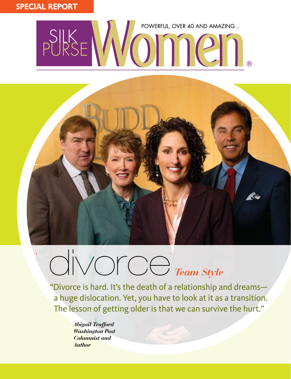# SPECIAL REPORT

# PURSE MOMENTUL, OVER 40 AND AMAZING...



# divorce *Team Style*

"Divorce is hard. It's the death of a relationship and dreams a huge dislocation. Yet, you have to look at it as a transition. The lesson of getting older is that we can survive the hurt."

> *Abigail Trafford Washington Post Columnist and Author*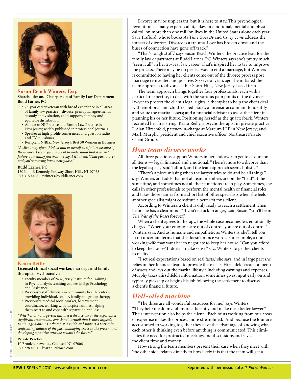

#### **Susan Reach Winters, Esq. Shareholder and Chairperson of Family Law Department Budd Larner, PC**

- 25-year career veteran with broad experience in all areas of family law practice – divorce, prenuptial agreements, custody and visitation, child support, alimony and equitable distribution
- • Author to NJ Practice and Family Law Practice in
- New Jersey; widely published in professional journals • Speaker at high-profile conferences and guest on radio
- and TV talk shows

• Recipient NJBIZ: New Jersey's Best 50 Women in Business *"A client may often think of him or herself as a failure because of the divorce. I try to get the client to understand that it wasn't a failure, something just went wrong. I tell them: 'That part is over and you're moving into a new phase.'"*

#### **Budd Larner, PC**

150 John F. Kennedy Parkway, Short Hills, NJ 07078 973.315.4408 swinters@buddlarner.com



#### **Keara Reilly**

#### **Licensed clinical social worker, marriage and family therapist, psychoanalyst**

- Faculty member of New Jersey Institute for Training in Psychoanalysis teaching courses in Ego Psychology and Resistance
- Previously staff clinician in community health centers, providing individual, couple, family and group therapy
- Previously, medical social worker, bereavement coordinator, working with hospice families helping them react to and cope with separation and loss

*"Whether or not a person initiates a divorce, he or she experiences significant trauma and emotional turmoil that is most difficult to manage alone. As a therapist, I guide and support a person in confronting failures of the past, managing crises in the present and developing a positive attitude towards the future."* 

#### **Private Practice**

10 Brookside Avenue, Caldwell, NJ 07006 973.228.4561 keara212@mac.com

 Divorce may be unpleasant, but it is here to stay. This psychological revolution, as many experts call it, takes an emotional, mental and physical toll on more than one million lives in the United States alone each year. Says Trafford, whose books *As Time Goes By* and *Crazy Time* address the impact of divorce: "Divorce is a trauma. Love has broken down and the buses of connection have gone off track."

 "That's tough stuff," says Susan Reach Winters, the practice lead for the family law department at Budd Larner, PC. Winters says she's pretty much "seen it all" in her 25-year law career. That's inspired her to try to improve the process. There may be no perfect way to end a marriage, but Winters is committed to having her clients come out of the divorce process post marriage reinvented and positive. So several years ago she initiated the team approach to divorce at her Short Hills, New Jersey-based firm.

 The team approach brings together four professionals, each with a particular expertise, to deal with the various pain points of the divorce: a lawyer to protect the client's legal rights; a therapist to help the client deal with emotional and child-related issues; a forensic accountant to identify and value the marital assets; and a financial advisor to assist the client in planning his or her future. Positioning herself as the quarterback, Winters recruited her first string: Keara Reilly, a psychotherapist in private practice; I. Alan Hirschfeld, partner-in-charge at Marcum LLP in New Jersey; and Mark Murphy, president and chief executive officer, Northeast Private Client Group.

# *How team divorce works*

 All three positions support Winters in her endeavor to get to closure on all items — legal, financial and emotional. "There's more to a divorce than the legal aspect," said Tafford, and the team approach seems holistic."

 "There's a piece missing when the lawyer tries to do and be all things," says Winters and adds that not all team members are on the "field" at the same time, and sometimes not all their functions are in play. Sometimes, she calls in other professionals to perform the mental health or financial roles and takes those names from a short list of other specialists when she feels another specialist might constitute a better fit for a client.

 According to Winters, a client is only ready to reach a settlement when he or she has a clear mind. "If you're stuck in anger," said Susan, "you'll be in *The War of the Roses* forever."

 When a client agrees to therapy, the whole case becomes less emotionally charged. "When your emotions are out of control, you are out of control," Winters says. And as humane and empathetic as Winters is, she'll tell you in no uncertain terms that she doesn't mince words. For example, a nonworking wife may want her to negotiate to keep her house. "Can you afford to keep the house? It doesn't make sense," says Winters, to get her clients to reality.

 "I set real expectations based on real facts," she says, and in large part she relies on her financial team to provide these facts. Hirschfeld creates a menu of assets and lays out the marital lifestyle including earnings and expenses. Murphy takes Hirschfeld's information, sometimes gives input early on and typically picks up or begins his job following the settlement to discuss a client's financial future.

# *Well-oiled machine*

"The three are all wonderful resources for me," says Winters. "They help me do my job more efficiently and make me a better lawyer." Their intervention also helps the client. "Each of us working from our areas of expertise makes the process more streamlined."And because the four are accustomed to working together they have the advantage of knowing what each other is thinking even before anything is communicated. This eliminates the need for protracted meetings and discussions and saves the client time and money.

 How strong the team members present their case when they meet with 'the other side' relates directly to how likely it is that the team will get a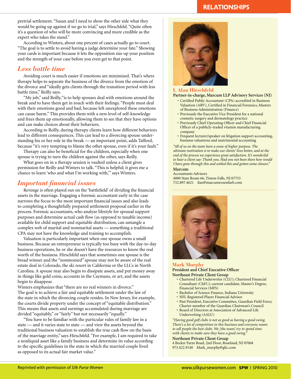pretrial settlement. "Susan and I need to show the other side what they would be going up against if we go to trial," says Hirschfeld. "Quite often it's a question of who will be more convincing and more credible as the expert who takes the stand."

 According to Winters, about one percent of cases actually go to court. "The goal is to settle to avoid having a judge determine your fate." Showing your cards is important because it lets the opposition size up your position and the strength of your case before you even get to that point.

# *Less battle time*

Avoiding court is much easier if emotions are minimized. That's where therapy helps to separate the business of the divorce from the emotion of the divorce and "ideally gets clients through the transition period with less battle time," Reilly says.

 "My job," said Reilly,"is to help spouses deal with emotions around the break and to have them get in touch with their feelings. "People must deal with their emotions good and bad, because left unexplored these emotions can cause harm." This provides them with a new level of self-knowledge and frees them up emotionally, allowing them to see that they have options and can make choices about their behaviors.

 According to Reilly, during therapy clients learn how different behaviors lead to different consequences. This can lead to a divorcing spouse understanding his or her role in the break — an important point, adds Tafford, because "it's very tempting to blame the other spouse, even if it's your fault."

 Therapy can also be beneficial for the children, especially when one spouse is trying to turn the children against the other, says Reilly.

 What goes on in a therapy session is vaulted unless a client gives permission for Reilly and Winters to talk. "This is helpful; it gives me a chance to learn 'who and what I'm working with,'" says Winters.

# *Important financial issues*

Revenge is often played out on the 'battlefield' of dividing the financial assets in the marriage. Engaging a forensic accountant early in the case narrows the focus to the most important financial issues and also leads to completing a thoughtfully prepared settlement proposal earlier in the process. Forensic accountants, who analyze lifestyle for spousal support purposes and determine actual cash flow (as opposed to taxable income) available for child support and equitable distribution, can untangle a complex web of marital and nonmarital assets — something a traditional CPA may not have the knowledge and training to accomplish.

 Valuation is particularly important when one spouse owns a small business. Because an entrepreneur is typically too busy with the day-to-day business operations, he or she doesn't have the resources to know the real worth of the business. Hirschfeld says that sometimes one spouse is the bread winner and the "nonmonied" spouse may not be aware of the real estate deal in Colorado, the ski resort in California or the LLCs in North Carolina. A spouse may also begin to dissipate assets, and put money away in things like gold coins, accounts in the Caymans, or art, and the assets begin to disappear.

Winters emphasizes that "there are no real winners in divorce." The goal is to achieve a fair and equitable settlement under the law of the state in which the divorcing couple resides. In New Jersey, for example, the courts divide property under the concept of "equitable distribution." This means that assets and earnings accumulated during marriage are divided "equitably," or "fairly" but not necessarily "equally."

 "You have to be familiar with the particular rules of family law in a state — and it varies state to state — and view the assets beyond the traditional business valuation to establish the true cash flow on the basis of the marriage entity," says Hirschfeld. "For example, I am required to take a nonliquid asset like a family business and determine its value according to the specific guidelines in the state in which the married couple lived as opposed to its actual fair market value."

# **RELATIONSHIPS**



### **I. Alan Hirschfeld**

**Partner-in-charge, Marcum LLP Advisory Services (NJ)**

- Certified Public Accountant (CPA) accredited in Business Valuation (ABV), Certified in Financial Forensics, Masters of Business Administration (Finance)
- Previously the Executive Vice President for a national cosmetic surgery and dermatology practice
- Previously Chief Operating Officer and Chief Financial Officer of a publicly-traded vitamin manufacturing company
- Frequent lecturer/speaker on litigation support accounting, business valuations and matrimonial accounting

*"All of us on the team have a sense of higher purpose. The ultimate motivation is to make our clients' lives better, and at the end of the process we experience great satisfaction. It's wonderful to hear a client say: Thank you. Had you not been there how would I have gone through this and settled this and gotten some closure."* 

#### **Marcum**

Accountants Advisors 4000 State Route 66, Tinton Falls, NJ 07753 732.897.4621 ilan@marcumrosenfarb.com



#### **Mark Murphy President and Chief Executive Officer Northeast Private Client Group**

- Chartered Life Underwriter (CLU); Chartered Financial Consultant (ChFC); current candidate, Master's Degree, Financial Services (MFS)
- Bachelor of Science Finance, Indiana University
- NFL Registered Player Financial Advisor
- Past President, Executive Committee, Guardian Field Force; Charter member of the Guardian Chairman's Council
- Board of Directors at Association of Advanced Life Underwriting (AALU)

*"Having good golf clubs is not as good as having a good swing. There's a lot of competition in this business and everyone wants to sell people the best clubs. We [the team] try to spend time with clients to make sure they have a good swing."*

**Northeast Private Client Group** 4 Becker Farm Road, 2nd Floor, Roseland, NJ 07068 973.422.9140 Mark\_murphy@glic.com